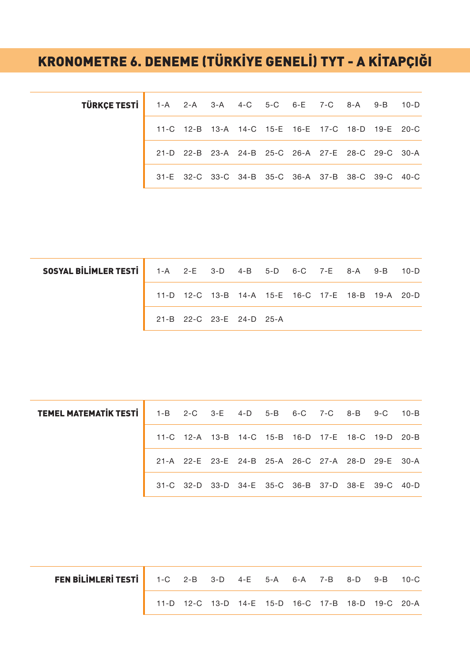## KRONOMETRE 6. DENEME (TÜRKİYE GENELİ) TYT - A KİTAPÇIĞI

| TÜRKÇE TESTİ   1-A 2-A 3-A 4-C 5-C 6-E 7-C 8-A 9-B 10-D |  |  |  |                                                   |  |  |
|---------------------------------------------------------|--|--|--|---------------------------------------------------|--|--|
|                                                         |  |  |  | 11-C 12-B 13-A 14-C 15-E 16-E 17-C 18-D 19-E 20-C |  |  |
|                                                         |  |  |  | 21-D 22-B 23-A 24-B 25-C 26-A 27-E 28-C 29-C 30-A |  |  |
|                                                         |  |  |  | 31-E 32-C 33-C 34-B 35-C 36-A 37-B 38-C 39-C 40-C |  |  |

| <b>SOSYAL BILIMLER TESTI</b> 1-A 2-E 3-D 4-B 5-D 6-C 7-E 8-A 9-B 10-D |                          |  |  |  |                                                   |  |
|-----------------------------------------------------------------------|--------------------------|--|--|--|---------------------------------------------------|--|
|                                                                       |                          |  |  |  | 11-D 12-C 13-B 14-A 15-E 16-C 17-E 18-B 19-A 20-D |  |
|                                                                       | 21-B 22-C 23-E 24-D 25-A |  |  |  |                                                   |  |

| TEMEL MATEMATIK TESTI   1-B 2-C 3-E 4-D 5-B 6-C 7-C 8-B 9-C 10-B |  |  |  |  |                                                   |  |
|------------------------------------------------------------------|--|--|--|--|---------------------------------------------------|--|
|                                                                  |  |  |  |  | 11-C 12-A 13-B 14-C 15-B 16-D 17-E 18-C 19-D 20-B |  |
|                                                                  |  |  |  |  | 21-A 22-E 23-E 24-B 25-A 26-C 27-A 28-D 29-E 30-A |  |
|                                                                  |  |  |  |  | 31-C 32-D 33-D 34-E 35-C 36-B 37-D 38-E 39-C 40-D |  |

| <b>FEN BILIMLERI TESTI</b> 1-C 2-B 3-D 4-E 5-A 6-A 7-B 8-D 9-B 10-C |                                                   |  |  |  |  |  |
|---------------------------------------------------------------------|---------------------------------------------------|--|--|--|--|--|
|                                                                     | 11-D 12-C 13-D 14-E 15-D 16-C 17-B 18-D 19-C 20-A |  |  |  |  |  |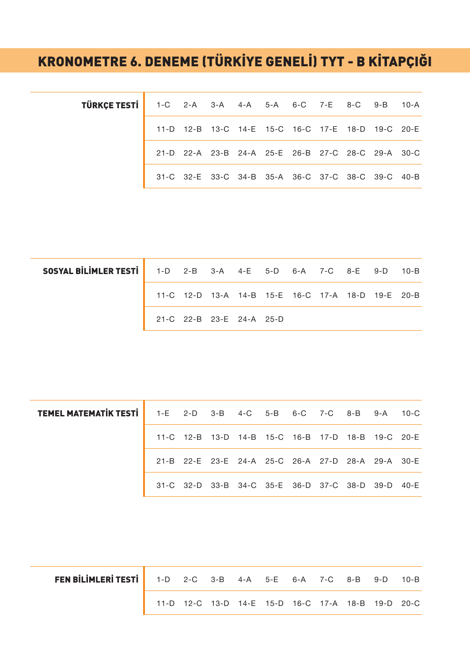## KRONOMETRE 6. DENEME (TÜRKİYE GENELİ) TYT - B KİTAPÇIĞI

| <b>TÜRKÇE TESTİ</b> 1-C 2-A 3-A 4-A 5-A 6-C 7-E 8-C 9-B 10-A |  |                                                   |  |  |  |  |
|--------------------------------------------------------------|--|---------------------------------------------------|--|--|--|--|
|                                                              |  | 11-D 12-B 13-C 14-E 15-C 16-C 17-E 18-D 19-C 20-E |  |  |  |  |
|                                                              |  | 21-D 22-A 23-B 24-A 25-E 26-B 27-C 28-C 29-A 30-C |  |  |  |  |
|                                                              |  | 31-C 32-E 33-C 34-B 35-A 36-C 37-C 38-C 39-C 40-B |  |  |  |  |

| <b>SOSYAL BILIMLER TESTI</b> 1-D 2-B 3-A 4-E 5-D 6-A 7-C 8-E 9-D 10-B |                                                   |  |  |  |  |  |
|-----------------------------------------------------------------------|---------------------------------------------------|--|--|--|--|--|
|                                                                       | 11-C 12-D 13-A 14-B 15-E 16-C 17-A 18-D 19-E 20-B |  |  |  |  |  |
|                                                                       | 21-C 22-B 23-E 24-A 25-D                          |  |  |  |  |  |

| TEMEL MATEMATIK TESTI   1-E 2-D 3-B 4-C 5-B 6-C 7-C 8-B 9-A 10-C |  |  |  |  |                                                   |  |
|------------------------------------------------------------------|--|--|--|--|---------------------------------------------------|--|
|                                                                  |  |  |  |  | 11-C 12-B 13-D 14-B 15-C 16-B 17-D 18-B 19-C 20-E |  |
|                                                                  |  |  |  |  | 21-B 22-E 23-E 24-A 25-C 26-A 27-D 28-A 29-A 30-E |  |
|                                                                  |  |  |  |  | 31-C 32-D 33-B 34-C 35-E 36-D 37-C 38-D 39-D 40-E |  |

| FEN BILIMLERI TESTI   1-D 2-C 3-B 4-A 5-E 6-A 7-C 8-B 9-D 10-B |                                                   |  |  |  |  |  |
|----------------------------------------------------------------|---------------------------------------------------|--|--|--|--|--|
|                                                                | 11-D 12-C 13-D 14-E 15-D 16-C 17-A 18-B 19-D 20-C |  |  |  |  |  |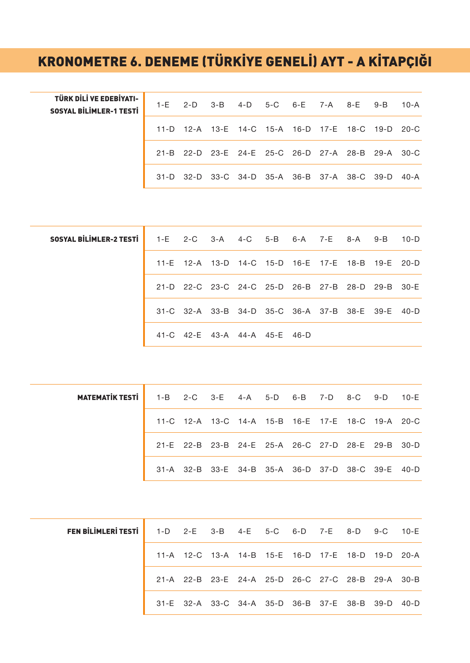## KRONOMETRE 6. DENEME (TÜRKİYE GENELİ) AYT - A KİTAPÇIĞI

| TÜRK DİLİ VE EDEBİYATI-<br><b>SOSYAL BİLİMLER-1 TESTİ</b> |  |  |  | 1-E 2-D 3-B 4-D 5-C 6-E 7-A 8-E 9-B 10-A          |  |
|-----------------------------------------------------------|--|--|--|---------------------------------------------------|--|
|                                                           |  |  |  | 11-D 12-A 13-E 14-C 15-A 16-D 17-E 18-C 19-D 20-C |  |
|                                                           |  |  |  | 21-B 22-D 23-E 24-E 25-C 26-D 27-A 28-B 29-A 30-C |  |
|                                                           |  |  |  | 31-D 32-D 33-C 34-D 35-A 36-B 37-A 38-C 39-D 40-A |  |

| <b>SOSYAL BILIMLER-2 TESTI</b> 1-E 2-C 3-A 4-C 5-B 6-A 7-E 8-A 9-B 10-D |  |  |                               |  |                                                   |  |
|-------------------------------------------------------------------------|--|--|-------------------------------|--|---------------------------------------------------|--|
|                                                                         |  |  |                               |  | 11-E 12-A 13-D 14-C 15-D 16-E 17-E 18-B 19-E 20-D |  |
|                                                                         |  |  |                               |  | 21-D 22-C 23-C 24-C 25-D 26-B 27-B 28-D 29-B 30-E |  |
|                                                                         |  |  |                               |  | 31-C 32-A 33-B 34-D 35-C 36-A 37-B 38-E 39-E 40-D |  |
|                                                                         |  |  | 41-C 42-E 43-A 44-A 45-E 46-D |  |                                                   |  |

| <b>MATEMATIK TESTI</b> 1-B 2-C 3-E 4-A 5-D 6-B 7-D 8-C 9-D 10-E |  |  |  |  |                                                   |  |
|-----------------------------------------------------------------|--|--|--|--|---------------------------------------------------|--|
|                                                                 |  |  |  |  | 11-C 12-A 13-C 14-A 15-B 16-E 17-E 18-C 19-A 20-C |  |
|                                                                 |  |  |  |  | 21-E 22-B 23-B 24-E 25-A 26-C 27-D 28-E 29-B 30-D |  |
|                                                                 |  |  |  |  | 31-A 32-B 33-E 34-B 35-A 36-D 37-D 38-C 39-E 40-D |  |

| <b>FEN BİLİMLERİ TESTİ</b> 1-D 2-E 3-B 4-E 5-C 6-D 7-E 8-D 9-C 10-E |                                                   |  |  |  |  |
|---------------------------------------------------------------------|---------------------------------------------------|--|--|--|--|
|                                                                     | 11-A 12-C 13-A 14-B 15-E 16-D 17-E 18-D 19-D 20-A |  |  |  |  |
|                                                                     | 21-A 22-B 23-E 24-A 25-D 26-C 27-C 28-B 29-A 30-B |  |  |  |  |
|                                                                     | 31-E 32-A 33-C 34-A 35-D 36-B 37-E 38-B 39-D 40-D |  |  |  |  |